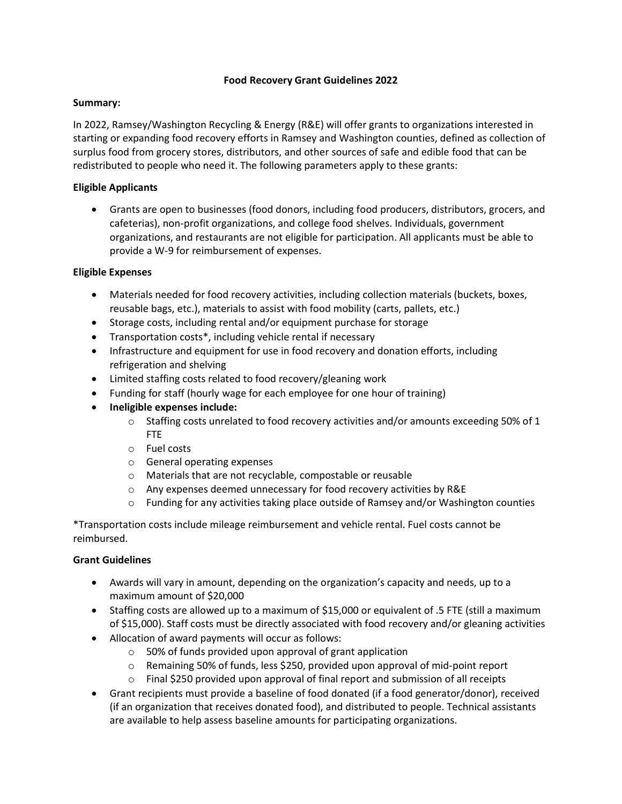### **Food Recovery Grant Guidelines 2022**

### **Summary:**

In 2022, Ramsey/Washington Recycling & Energy (R&E) will offer grants to organizations interested in starting or expanding food recovery efforts in Ramsey and Washington counties, defined as collection of surplus food from grocery stores, distributors, and other sources of safe and edible food that can be redistributed to people who need it. The following parameters apply to these grants:

## **Eligible Applicants**

• Grants are open to businesses (food donors, including food producers, distributors, grocers, and cafeterias), non-profit organizations, and college food shelves. Individuals, government organizations, and restaurants are not eligible for participation. All applicants must be able to provide a W-9 for reimbursement of expenses.

## **Eligible Expenses**

- Materials needed for food recovery activities, including collection materials (buckets, boxes, reusable bags, etc.), materials to assist with food mobility (carts, pallets, etc.)
- Storage costs, including rental and/or equipment purchase for storage
- Transportation costs\*, including vehicle rental if necessary
- Infrastructure and equipment for use in food recovery and donation efforts, including refrigeration and shelving
- Limited staffing costs related to food recovery/gleaning work
- Funding for staff (hourly wage for each employee for one hour of training)
- **Ineligible expenses include:**
	- $\circ$  Staffing costs unrelated to food recovery activities and/or amounts exceeding 50% of 1 FTE
	- o Fuel costs
	- o General operating expenses
	- o Materials that are not recyclable, compostable or reusable
	- o Any expenses deemed unnecessary for food recovery activities by R&E
	- $\circ$  Funding for any activities taking place outside of Ramsey and/or Washington counties

\*Transportation costs include mileage reimbursement and vehicle rental. Fuel costs cannot be reimbursed.

# **Grant Guidelines**

- Awards will vary in amount, depending on the organization's capacity and needs, up to a maximum amount of \$20,000
- Staffing costs are allowed up to a maximum of \$15,000 or equivalent of .5 FTE (still a maximum of \$15,000). Staff costs must be directly associated with food recovery and/or gleaning activities
- Allocation of award payments will occur as follows:
	- o 50% of funds provided upon approval of grant application
	- o Remaining 50% of funds, less \$250, provided upon approval of mid-point report
	- $\circ$  Final \$250 provided upon approval of final report and submission of all receipts
- Grant recipients must provide a baseline of food donated (if a food generator/donor), received (if an organization that receives donated food), and distributed to people. Technical assistants are available to help assess baseline amounts for participating organizations.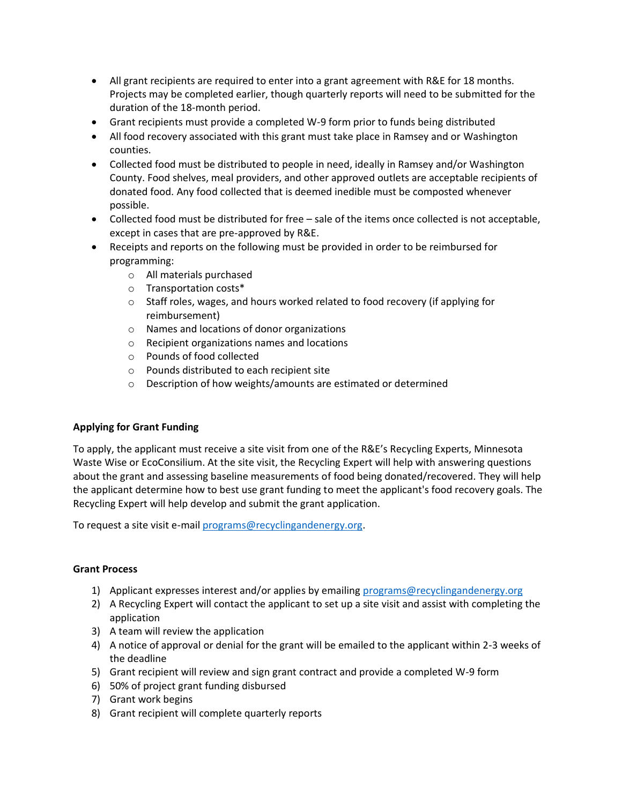- All grant recipients are required to enter into a grant agreement with R&E for 18 months. Projects may be completed earlier, though quarterly reports will need to be submitted for the duration of the 18-month period.
- Grant recipients must provide a completed W-9 form prior to funds being distributed
- All food recovery associated with this grant must take place in Ramsey and or Washington counties.
- Collected food must be distributed to people in need, ideally in Ramsey and/or Washington County. Food shelves, meal providers, and other approved outlets are acceptable recipients of donated food. Any food collected that is deemed inedible must be composted whenever possible.
- Collected food must be distributed for free sale of the items once collected is not acceptable, except in cases that are pre-approved by R&E.
- Receipts and reports on the following must be provided in order to be reimbursed for programming:
	- o All materials purchased
	- o Transportation costs\*
	- o Staff roles, wages, and hours worked related to food recovery (if applying for reimbursement)
	- o Names and locations of donor organizations
	- o Recipient organizations names and locations
	- o Pounds of food collected
	- o Pounds distributed to each recipient site
	- o Description of how weights/amounts are estimated or determined

# **Applying for Grant Funding**

To apply, the applicant must receive a site visit from one of the R&E's Recycling Experts, Minnesota Waste Wise or EcoConsilium. At the site visit, the Recycling Expert will help with answering questions about the grant and assessing baseline measurements of food being donated/recovered. They will help the applicant determine how to best use grant funding to meet the applicant's food recovery goals. The Recycling Expert will help develop and submit the grant application.

To request a site visit e-mai[l programs@recyclingandenergy.org.](mailto:programs@recyclingandenergy.org)

#### **Grant Process**

- 1) Applicant expresses interest and/or applies by emailing [programs@recyclingandenergy.org](mailto:programs@recyclingandenergy.org)
- 2) A Recycling Expert will contact the applicant to set up a site visit and assist with completing the application
- 3) A team will review the application
- 4) A notice of approval or denial for the grant will be emailed to the applicant within 2-3 weeks of the deadline
- 5) Grant recipient will review and sign grant contract and provide a completed W-9 form
- 6) 50% of project grant funding disbursed
- 7) Grant work begins
- 8) Grant recipient will complete quarterly reports